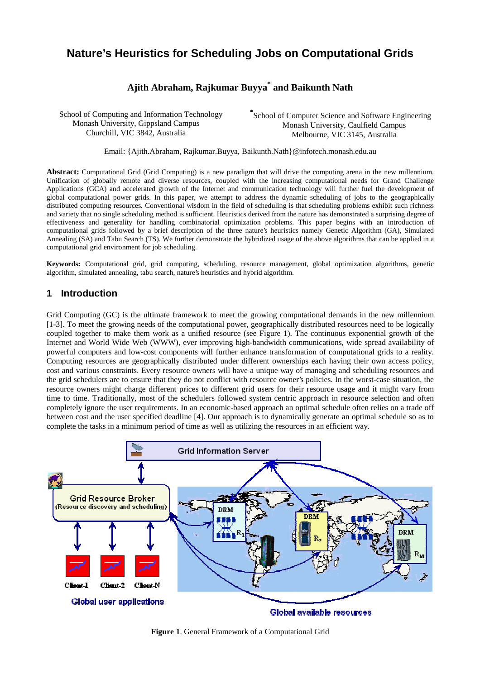# **Nature's Heuristics for Scheduling Jobs on Computational Grids**

# **Ajith Abraham, Rajkumar Buyya\* and Baikunth Nath**

School of Computing and Information Technology Monash University, Gippsland Campus Churchill, VIC 3842, Australia

**\*** School of Computer Science and Software Engineering Monash University, Caulfield Campus Melbourne, VIC 3145, Australia

Email: {Ajith.Abraham, Rajkumar.Buyya, Baikunth.Nath}@infotech.monash.edu.au

Abstract: Computational Grid (Grid Computing) is a new paradigm that will drive the computing arena in the new millennium. Unification of globally remote and diverse resources, coupled with the increasing computational needs for Grand Challenge Applications (GCA) and accelerated growth of the Internet and communication technology will further fuel the development of global computational power grids. In this paper, we attempt to address the dynamic scheduling of jobs to the geographically distributed computing resources. Conventional wisdom in the field of scheduling is that scheduling problems exhibit such richness and variety that no single scheduling method is sufficient. Heuristics derived from the nature has demonstrated a surprising degree of effectiveness and generality for handling combinatorial optimization problems. This paper begins with an introduction of computational grids followed by a brief description of the three nature's heuristics namely Genetic Algorithm (GA), Simulated Annealing (SA) and Tabu Search (TS). We further demonstrate the hybridized usage of the above algorithms that can be applied in a computational grid environment for job scheduling.

**Keywords:** Computational grid, grid computing, scheduling, resource management, global optimization algorithms, genetic algorithm, simulated annealing, tabu search, nature's heuristics and hybrid algorithm.

# **1 Introduction**

Grid Computing (GC) is the ultimate framework to meet the growing computational demands in the new millennium [1-3]. To meet the growing needs of the computational power, geographically distributed resources need to be logically coupled together to make them work as a unified resource (see Figure 1). The continuous exponential growth of the Internet and World Wide Web (WWW), ever improving high-bandwidth communications, wide spread availability of powerful computers and low-cost components will further enhance transformation of computational grids to a reality. Computing resources are geographically distributed under different ownerships each having their own access policy, cost and various constraints. Every resource owners will have a unique way of managing and scheduling resources and the grid schedulers are to ensure that they do not conflict with resource owner's policies. In the worst-case situation, the resource owners might charge different prices to different grid users for their resource usage and it might vary from time to time. Traditionally, most of the schedulers followed system centric approach in resource selection and often completely ignore the user requirements. In an economic-based approach an optimal schedule often relies on a trade off between cost and the user specified deadline [4]. Our approach is to dynamically generate an optimal schedule so as to complete the tasks in a minimum period of time as well as utilizing the resources in an efficient way.



**Figure 1**. General Framework of a Computational Grid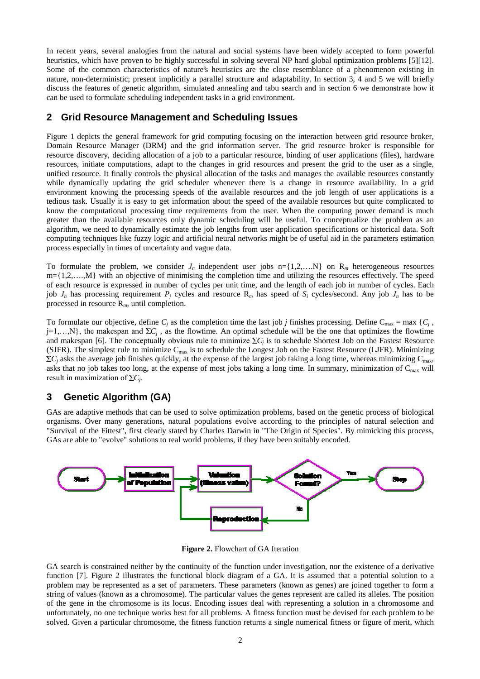In recent years, several analogies from the natural and social systems have been widely accepted to form powerful heuristics, which have proven to be highly successful in solving several NP hard global optimization problems [5][12]. Some of the common characteristics of nature's heuristics are the close resemblance of a phenomenon existing in nature, non-deterministic; present implicitly a parallel structure and adaptability. In section 3, 4 and 5 we will briefly discuss the features of genetic algorithm, simulated annealing and tabu search and in section 6 we demonstrate how it can be used to formulate scheduling independent tasks in a grid environment.

## **2 Grid Resource Management and Scheduling Issues**

Figure 1 depicts the general framework for grid computing focusing on the interaction between grid resource broker, Domain Resource Manager (DRM) and the grid information server. The grid resource broker is responsible for resource discovery, deciding allocation of a job to a particular resource, binding of user applications (files), hardware resources, initiate computations, adapt to the changes in grid resources and present the grid to the user as a single, unified resource. It finally controls the physical allocation of the tasks and manages the available resources constantly while dynamically updating the grid scheduler whenever there is a change in resource availability. In a grid environment knowing the processing speeds of the available resources and the job length of user applications is a tedious task. Usually it is easy to get information about the speed of the available resources but quite complicated to know the computational processing time requirements from the user. When the computing power demand is much greater than the available resources only dynamic scheduling will be useful. To conceptualize the problem as an algorithm, we need to dynamically estimate the job lengths from user application specifications or historical data. Soft computing techniques like fuzzy logic and artificial neural networks might be of useful aid in the parameters estimation process especially in times of uncertainty and vague data.

To formulate the problem, we consider  $J_n$  independent user jobs  $n = \{1, 2, \ldots N\}$  on  $R_m$  heterogeneous resources  $m=[1,2,...,M]$  with an objective of minimising the completion time and utilizing the resources effectively. The speed of each resource is expressed in number of cycles per unit time, and the length of each job in number of cycles. Each job  $J_n$  has processing requirement  $P_j$  cycles and resource  $R_m$  has speed of  $S_i$  cycles/second. Any job  $J_n$  has to be processed in resource R*m,* until completion.

To formulate our objective, define  $C_i$  as the completion time the last job *j* finishes processing. Define  $C_{\text{max}} = \max \{C_i$ ,  $j=1,...,N$ }, the makespan and  $\Sigma C_j$ , as the flowtime. An optimal schedule will be the one that optimizes the flowtime and makespan [6]. The conceptually obvious rule to minimize  $\Sigma C_i$  is to schedule Shortest Job on the Fastest Resource (SJFR). The simplest rule to minimize  $C_{\text{max}}$  is to schedule the Longest Job on the Fastest Resource (LJFR). Minimizing  $\Sigma C_i$  asks the average job finishes quickly, at the expense of the largest job taking a long time, whereas minimizing  $C_{\text{max}}$ , asks that no job takes too long, at the expense of most jobs taking a long time. In summary, minimization of  $C_{\text{max}}$  will result in maximization of  $\Sigma C_i$ .

# **3 Genetic Algorithm (GA)**

GAs are adaptive methods that can be used to solve optimization problems, based on the genetic process of biological organisms. Over many generations, natural populations evolve according to the principles of natural selection and "Survival of the Fittest", first clearly stated by Charles Darwin in "The Origin of Species". By mimicking this process, GAs are able to "evolve" solutions to real world problems, if they have been suitably encoded.



**Figure 2.** Flowchart of GA Iteration

GA search is constrained neither by the continuity of the function under investigation, nor the existence of a derivative function [7]. Figure 2 illustrates the functional block diagram of a GA. It is assumed that a potential solution to a problem may be represented as a set of parameters. These parameters (known as genes) are joined together to form a string of values (known as a chromosome). The particular values the genes represent are called its alleles. The position of the gene in the chromosome is its locus. Encoding issues deal with representing a solution in a chromosome and unfortunately, no one technique works best for all problems. A fitness function must be devised for each problem to be solved. Given a particular chromosome, the fitness function returns a single numerical fitness or figure of merit, which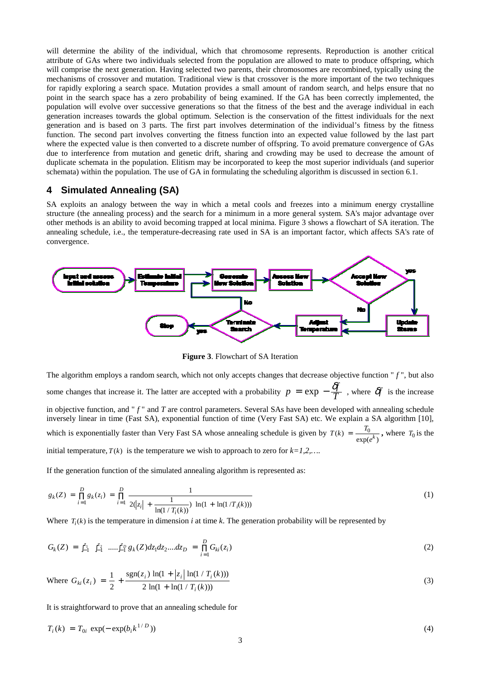will determine the ability of the individual, which that chromosome represents. Reproduction is another critical attribute of GAs where two individuals selected from the population are allowed to mate to produce offspring, which will comprise the next generation. Having selected two parents, their chromosomes are recombined, typically using the mechanisms of crossover and mutation. Traditional view is that crossover is the more important of the two techniques for rapidly exploring a search space. Mutation provides a small amount of random search, and helps ensure that no point in the search space has a zero probability of being examined. If the GA has been correctly implemented, the population will evolve over successive generations so that the fitness of the best and the average individual in each generation increases towards the global optimum. Selection is the conservation of the fittest individuals for the next generation and is based on 3 parts. The first part involves determination of the individual's fitness by the fitness function. The second part involves converting the fitness function into an expected value followed by the last part where the expected value is then converted to a discrete number of offspring. To avoid premature convergence of GAs due to interference from mutation and genetic drift, sharing and crowding may be used to decrease the amount of duplicate schemata in the population. Elitism may be incorporated to keep the most superior individuals (and superior schemata) within the population. The use of GA in formulating the scheduling algorithm is discussed in section 6.1.

### **4 Simulated Annealing (SA)**

SA exploits an analogy between the way in which a metal cools and freezes into a minimum energy crystalline structure (the annealing process) and the search for a minimum in a more general system. SA's major advantage over other methods is an ability to avoid becoming trapped at local minima. Figure 3 shows a flowchart of SA iteration. The annealing schedule, i.e., the temperature-decreasing rate used in SA is an important factor, which affects SA's rate of convergence.



**Figure 3**. Flowchart of SA Iteration

The algorithm employs a random search, which not only accepts changes that decrease objective function " *f* ", but also some changes that increase it. The latter are accepted with a probability  $p = \exp(-\frac{Q}{T})$  $\big)$  $\left( \right)$ I  $p = \exp\left(-\frac{\delta f}{T}\right)$ , where  $\delta f$  is the increase in objective function, and " *f* " and *T* are control parameters. Several SAs have been developed with annealing schedule inversely linear in time (Fast SA), exponential function of time (Very Fast SA) etc. We explain a SA algorithm [10], which is exponentially faster than Very Fast SA whose annealing schedule is given by  $exp(e^{k})$  $T(k) = \frac{T_0}{\exp(e^k)}$ , where  $T_0$  is the initial temperature,  $T(k)$  is the temperature we wish to approach to zero for  $k=1,2,...$ 

If the generation function of the simulated annealing algorithm is represented as:

$$
g_k(Z) = \prod_{i=1}^D g_k(z_i) = \prod_{i=1}^D \frac{1}{2(|z_i| + \frac{1}{\ln(1/T_i(k))}) \ln(1 + \ln(1/T_i(k)))}
$$
(1)

Where  $T_i(k)$  is the temperature in dimension *i* at time *k*. The generation probability will be represented by

$$
G_k(Z) = \int_{-1}^{z_1} \int_{-1}^{z_2} \dots \int_{-1}^{z_D} g_k(Z) dz_1 dz_2 \dots dz_D = \prod_{i=1}^D G_{ki}(z_i)
$$
 (2)

Where 
$$
G_{ki}(z_i) = \frac{1}{2} + \frac{\text{sgn}(z_i) \ln(1 + |z_i| \ln(1/T_i(k)))}{2 \ln(1 + \ln(1/T_i(k)))}
$$
 (3)

It is straightforward to prove that an annealing schedule for

$$
T_i(k) = T_{0i} \exp(-\exp(b_i k^{1/D})) \tag{4}
$$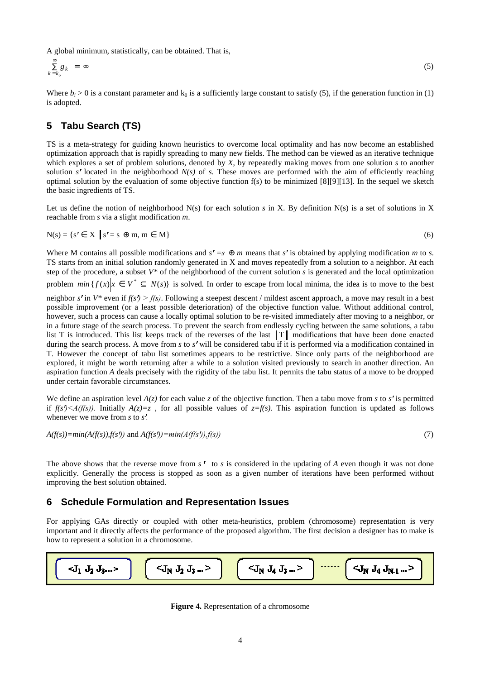A global minimum, statistically, can be obtained. That is,

$$
\sum_{k=k_o}^{\infty} g_k = \infty \tag{5}
$$

Where  $b_i > 0$  is a constant parameter and  $k_0$  is a sufficiently large constant to satisfy (5), if the generation function in (1) is adopted.

### **5 Tabu Search (TS)**

TS is a meta-strategy for guiding known heuristics to overcome local optimality and has now become an established optimization approach that is rapidly spreading to many new fields. The method can be viewed as an iterative technique which explores a set of problem solutions, denoted by *X*, by repeatedly making moves from one solution *s* to another solution  $s'$  located in the neighborhood  $N(s)$  of  $s$ . These moves are performed with the aim of efficiently reaching optimal solution by the evaluation of some objective function  $f(s)$  to be minimized [8][9][13]. In the sequel we sketch the basic ingredients of TS.

Let us define the notion of neighborhood  $N(s)$  for each solution *s* in X. By definition  $N(s)$  is a set of solutions in X reachable from *s* via a slight modification *m*.

$$
N(s) = \{s' \in X \mid s' = s \oplus m, m \in M\}
$$
 (6)

Where M contains all possible modifications and  $s' = s \oplus m$  means that s' is obtained by applying modification m to s. TS starts from an initial solution randomly generated in X and moves repeatedly from a solution to a neighbor. At each step of the procedure, a subset  $V^*$  of the neighborhood of the current solution  $s$  is generated and the local optimization problem  $min\{f(x)|x \in V^* \subseteq N(s)\}$  is solved. In order to escape from local minima, the idea is to move to the best

neighbor  $s'$  in  $V^*$  even if  $f(s') > f(s)$ . Following a steepest descent / mildest ascent approach, a move may result in a best possible improvement (or a least possible deterioration) of the objective function value. Without additional control, however, such a process can cause a locally optimal solution to be re-visited immediately after moving to a neighbor, or in a future stage of the search process. To prevent the search from endlessly cycling between the same solutions, a tabu list T is introduced. This list keeps track of the reverses of the last  $|T|$  modifications that have been done enacted during the search process. A move from *s* to *s'* will be considered tabu if it is performed via a modification contained in T. However the concept of tabu list sometimes appears to be restrictive. Since only parts of the neighborhood are explored, it might be worth returning after a while to a solution visited previously to search in another direction. An aspiration function *A* deals precisely with the rigidity of the tabu list. It permits the tabu status of a move to be dropped under certain favorable circumstances.

We define an aspiration level  $A(z)$  for each value z of the objective function. Then a tabu move from *s* to *s'* is permitted if  $f(s') \leq A(f(s))$ . Initially  $A(z)=z$ , for all possible values of  $z=f(s)$ . This aspiration function is updated as follows whenever we move from *s* to *s*

$$
A(f(s)) = min(A(f(s)), f(s')) \text{ and } A(f(s')) = min(A(f(s')), f(s))
$$
\n
$$
(7)
$$

The above shows that the reverse move from  $s<sup>t</sup>$  to  $s$  is considered in the updating of  $A$  even though it was not done explicitly. Generally the process is stopped as soon as a given number of iterations have been performed without improving the best solution obtained.

# **6 Schedule Formulation and Representation Issues**

For applying GAs directly or coupled with other meta-heuristics, problem (chromosome) representation is very important and it directly affects the performance of the proposed algorithm. The first decision a designer has to make is how to represent a solution in a chromosome.



**Figure 4.** Representation of a chromosome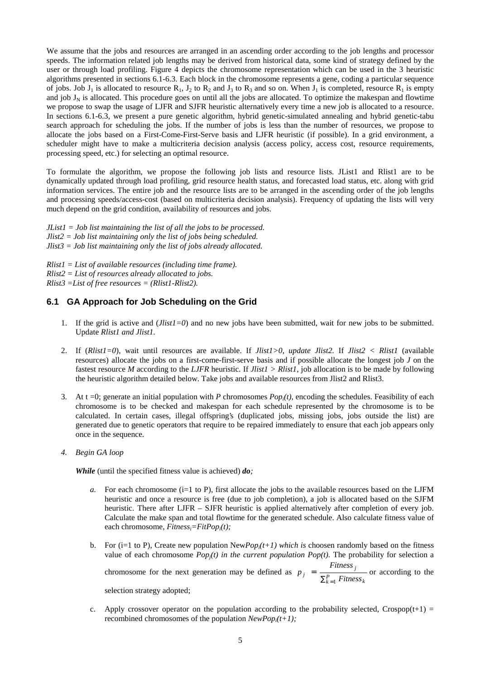We assume that the jobs and resources are arranged in an ascending order according to the job lengths and processor speeds. The information related job lengths may be derived from historical data, some kind of strategy defined by the user or through load profiling. Figure 4 depicts the chromosome representation which can be used in the 3 heuristic algorithms presented in sections 6.1-6.3. Each block in the chromosome represents a gene, coding a particular sequence of jobs. Job J<sub>1</sub> is allocated to resource R<sub>1</sub>, J<sub>2</sub> to R<sub>2</sub> and J<sub>3</sub> to R<sub>3</sub> and so on. When J<sub>1</sub> is completed, resource R<sub>1</sub> is empty and job  $J_N$  is allocated. This procedure goes on until all the jobs are allocated. To optimize the makespan and flowtime we propose to swap the usage of LJFR and SJFR heuristic alternatively every time a new job is allocated to a resource. In sections 6.1-6.3, we present a pure genetic algorithm, hybrid genetic-simulated annealing and hybrid genetic-tabu search approach for scheduling the jobs. If the number of jobs is less than the number of resources, we propose to allocate the jobs based on a First-Come-First-Serve basis and LJFR heuristic (if possible). In a grid environment, a scheduler might have to make a multicriteria decision analysis (access policy, access cost, resource requirements, processing speed, etc.) for selecting an optimal resource.

To formulate the algorithm, we propose the following job lists and resource lists. JList1 and Rlist1 are to be dynamically updated through load profiling, grid resource health status, and forecasted load status, etc. along with grid information services. The entire job and the resource lists are to be arranged in the ascending order of the job lengths and processing speeds/access-cost (based on multicriteria decision analysis). Frequency of updating the lists will very much depend on the grid condition, availability of resources and jobs.

*JList1 = Job list maintaining the list of all the jobs to be processed. Jlist2 = Job list maintaining only the list of jobs being scheduled. Jlist3 = Job list maintaining only the list of jobs already allocated.* 

*Rlist1 = List of available resources (including time frame). Rlist2 = List of resources already allocated to jobs. Rlist3 =List of free resources = (Rlist1-Rlist2).* 

### **6.1 GA Approach for Job Scheduling on the Grid**

- 1. If the grid is active and (*Jlist1=0*) and no new jobs have been submitted, wait for new jobs to be submitted. Update *Rlist1 and Jlist1.*
- 2. If (*Rlist1=0*), wait until resources are available. If *Jlist1>0, update Jlist2.* If *Jlist2 < Rlist1* (available resources) allocate the jobs on a first-come-first-serve basis and if possible allocate the longest job *J* on the fastest resource *M* according to the *LJFR* heuristic*.* If *Jlist1 > Rlist1*, job allocation is to be made by following the heuristic algorithm detailed below. Take jobs and available resources from Jlist2 and Rlist3.
- 3. At t =0; generate an initial population with *P* chromosomes *Popi(t),* encoding the schedules. Feasibility of each chromosome is to be checked and makespan for each schedule represented by the chromosome is to be calculated. In certain cases, illegal offspring's (duplicated jobs, missing jobs, jobs outside the list) are generated due to genetic operators that require to be repaired immediately to ensure that each job appears only once in the sequence.
- *4. Begin GA loop*

*While* (until the specified fitness value is achieved) *do;*

- *a.* For each chromosome (i=1 to P), first allocate the jobs to the available resources based on the LJFM heuristic and once a resource is free (due to job completion), a job is allocated based on the SJFM heuristic. There after LJFR – SJFR heuristic is applied alternatively after completion of every job. Calculate the make span and total flowtime for the generated schedule. Also calculate fitness value of each chromosome, *Fitnessi=FitPopi(t);*
- b. For (i=1 to P), Create new population New*Popi(t+1) which is* choosen randomly based on the fitness value of each chromosome  $Pop<sub>j</sub>(t)$  in the current population Pop(t). The probability for selection a

chromosome for the next generation may be defined as  $p_j = \frac{p}{\sum_{k=1}^{p} \text{Fitness}_k}$ *j*  $j = \frac{F}{\sum_{k=1}^{P} \text{Fitness}}$ *Fitness p* 1 or according to the

selection strategy adopted;

c. Apply crossover operator on the population according to the probability selected, Crospop $(t+1)$  = recombined chromosomes of the population *NewPopi(t+1);*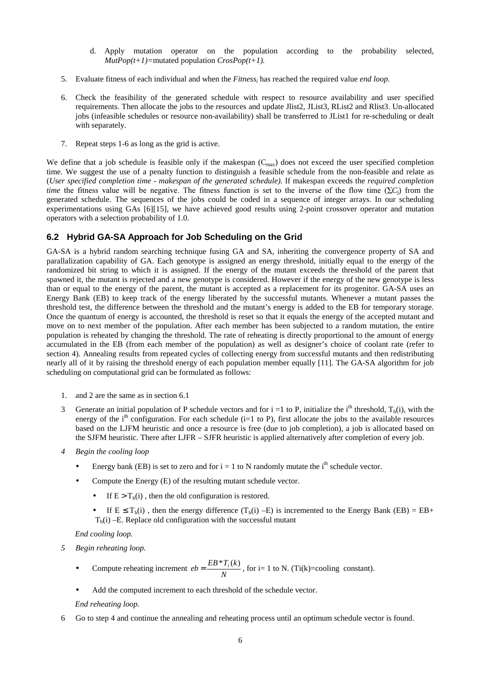- d. Apply mutation operator on the population according to the probability selected,  $MutPop(t+1)=$ mutated population  $CrosPop(t+1)$ .
- 5. Evaluate fitness of each individual and when the *Fitnessi* has reached the required value *end loop.*
- 6. Check the feasibility of the generated schedule with respect to resource availability and user specified requirements. Then allocate the jobs to the resources and update Jlist2, JList3, RList2 and Rlist3. Un-allocated jobs (infeasible schedules or resource non-availability) shall be transferred to JList1 for re-scheduling or dealt with separately.
- 7. Repeat steps 1-6 as long as the grid is active.

We define that a job schedule is feasible only if the makespan  $(C_{\text{max}})$  does not exceed the user specified completion time. We suggest the use of a penalty function to distinguish a feasible schedule from the non-feasible and relate as (*User specified completion time - makespan of the generated schedule).* If makespan exceeds the *required completion time* the fitness value will be negative. The fitness function is set to the inverse of the flow time  $(\Sigma C_i)$  from the generated schedule. The sequences of the jobs could be coded in a sequence of integer arrays. In our scheduling experimentations using GAs [6][15], we have achieved good results using 2-point crossover operator and mutation operators with a selection probability of 1.0.

## **6.2 Hybrid GA-SA Approach for Job Scheduling on the Grid**

GA-SA is a hybrid random searching technique fusing GA and SA, inheriting the convergence property of SA and parallalization capability of GA. Each genotype is assigned an energy threshold, initially equal to the energy of the randomized bit string to which it is assigned. If the energy of the mutant exceeds the threshold of the parent that spawned it, the mutant is rejected and a new genotype is considered. However if the energy of the new genotype is less than or equal to the energy of the parent, the mutant is accepted as a replacement for its progenitor. GA-SA uses an Energy Bank (EB) to keep track of the energy liberated by the successful mutants. Whenever a mutant passes the threshold test, the difference between the threshold and the mutant's energy is added to the EB for temporary storage. Once the quantum of energy is accounted, the threshold is reset so that it equals the energy of the accepted mutant and move on to next member of the population. After each member has been subjected to a random mutation, the entire population is reheated by changing the threshold. The rate of reheating is directly proportional to the amount of energy accumulated in the EB (from each member of the population) as well as designer's choice of coolant rate (refer to section 4). Annealing results from repeated cycles of collecting energy from successful mutants and then redistributing nearly all of it by raising the threshold energy of each population member equally [11]. The GA-SA algorithm for job scheduling on computational grid can be formulated as follows:

- 1. and 2 are the same as in section 6.1
- 3 Generate an initial population of P schedule vectors and for  $i = 1$  to P, initialize the i<sup>th</sup> threshold,  $T_h(i)$ , with the energy of the i<sup>th</sup> configuration. For each schedule ( $i=1$  to P), first allocate the jobs to the available resources based on the LJFM heuristic and once a resource is free (due to job completion), a job is allocated based on the SJFM heuristic. There after LJFR – SJFR heuristic is applied alternatively after completion of every job.
- *4 Begin the cooling loop* 
	- Energy bank (EB) is set to zero and for  $i = 1$  to N randomly mutate the i<sup>th</sup> schedule vector.
	- Compute the Energy (E) of the resulting mutant schedule vector.
		- If  $E > T_h(i)$ , then the old configuration is restored.
		- If  $E \leq T_h(i)$ , then the energy difference  $(T_h(i) E)$  is incremented to the Energy Bank (EB) = EB+  $T<sub>h</sub>(i)$  –E. Replace old configuration with the successful mutant

*End cooling loop.* 

- *5 Begin reheating loop.* 
	- Compute reheating increment  $eb = \frac{EB * T_i(k)}{N}$ , for i= 1 to N. (Ti(k)=cooling constant).
	- Add the computed increment to each threshold of the schedule vector.

#### *End reheating loop.*

6 Go to step 4 and continue the annealing and reheating process until an optimum schedule vector is found.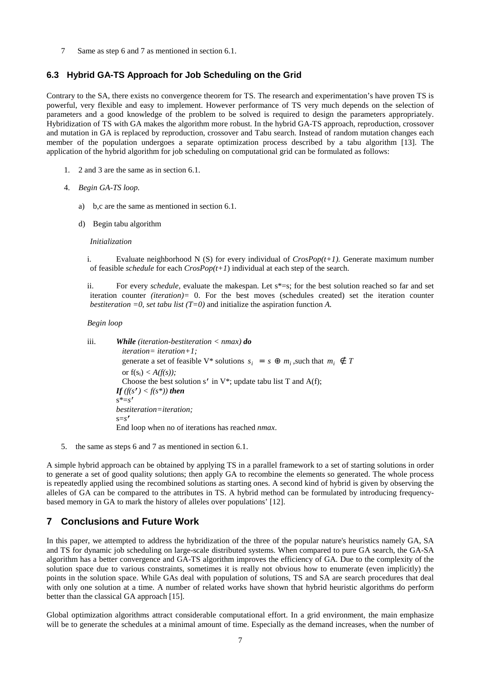7 Same as step 6 and 7 as mentioned in section 6.1.

#### **6.3 Hybrid GA-TS Approach for Job Scheduling on the Grid**

Contrary to the SA, there exists no convergence theorem for TS. The research and experimentation's have proven TS is powerful, very flexible and easy to implement. However performance of TS very much depends on the selection of parameters and a good knowledge of the problem to be solved is required to design the parameters appropriately. Hybridization of TS with GA makes the algorithm more robust. In the hybrid GA-TS approach, reproduction, crossover and mutation in GA is replaced by reproduction, crossover and Tabu search. Instead of random mutation changes each member of the population undergoes a separate optimization process described by a tabu algorithm [13]. The application of the hybrid algorithm for job scheduling on computational grid can be formulated as follows:

- 1. 2 and 3 are the same as in section 6.1.
- 4. *Begin GA-TS loop.* 
	- a) b,c are the same as mentioned in section 6.1.
	- d) Begin tabu algorithm

#### *Initialization*

i. Evaluate neighborhood N (S) for every individual of  $CrosPop(t+1)$ . Generate maximum number of feasible *schedule* for each *CrosPop(t+1*) individual at each step of the search.

ii. For every *schedule,* evaluate the makespan. Let s\*=s; for the best solution reached so far and set iteration counter *(iteration)=* 0. For the best moves (schedules created) set the iteration counter *bestiteration =0, set tabu list (T=0)* and initialize the aspiration function *A.*

#### *Begin loop*

iii. *While (iteration-bestiteration < nmax) do iteration= iteration+1;*  generate a set of feasible V\* solutions  $s_i = s \oplus m_i$ , such that  $m_i \notin T$ or  $f(s_i) < A(f(s))$ ; Choose the best solution s' in  $V^*$ ; update tabu list T and A(f); *If*  $(f(s') < f(s^*))$  *then* s\*=*s bestiteration=iteration;*  s=*s* End loop when no of iterations has reached *nmax*.

5. the same as steps 6 and 7 as mentioned in section 6.1.

A simple hybrid approach can be obtained by applying TS in a parallel framework to a set of starting solutions in order to generate a set of good quality solutions; then apply GA to recombine the elements so generated. The whole process is repeatedly applied using the recombined solutions as starting ones. A second kind of hybrid is given by observing the alleles of GA can be compared to the attributes in TS. A hybrid method can be formulated by introducing frequencybased memory in GA to mark the history of alleles over populations' [12].

#### **7 Conclusions and Future Work**

In this paper, we attempted to address the hybridization of the three of the popular nature's heuristics namely GA, SA and TS for dynamic job scheduling on large-scale distributed systems. When compared to pure GA search, the GA-SA algorithm has a better convergence and GA-TS algorithm improves the efficiency of GA. Due to the complexity of the solution space due to various constraints, sometimes it is really not obvious how to enumerate (even implicitly) the points in the solution space. While GAs deal with population of solutions, TS and SA are search procedures that deal with only one solution at a time. A number of related works have shown that hybrid heuristic algorithms do perform better than the classical GA approach [15].

Global optimization algorithms attract considerable computational effort. In a grid environment, the main emphasize will be to generate the schedules at a minimal amount of time. Especially as the demand increases, when the number of